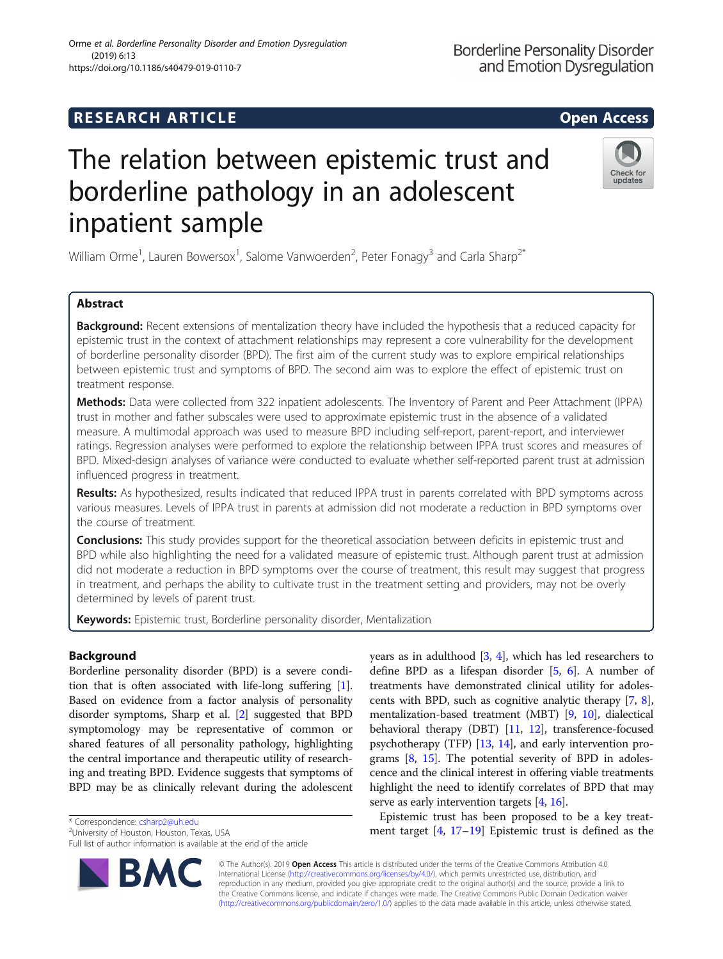## **RESEARCH ARTICLE Example 2014 12:30 The SEAR CH ACCESS**

# The relation between epistemic trust and borderline pathology in an adolescent inpatient sample

William Orme<sup>1</sup>, Lauren Bowersox<sup>1</sup>, Salome Vanwoerden<sup>2</sup>, Peter Fonagy<sup>3</sup> and Carla Sharp<sup>2\*</sup>

## Abstract

Background: Recent extensions of mentalization theory have included the hypothesis that a reduced capacity for epistemic trust in the context of attachment relationships may represent a core vulnerability for the development of borderline personality disorder (BPD). The first aim of the current study was to explore empirical relationships between epistemic trust and symptoms of BPD. The second aim was to explore the effect of epistemic trust on treatment response.

Methods: Data were collected from 322 inpatient adolescents. The Inventory of Parent and Peer Attachment (IPPA) trust in mother and father subscales were used to approximate epistemic trust in the absence of a validated measure. A multimodal approach was used to measure BPD including self-report, parent-report, and interviewer ratings. Regression analyses were performed to explore the relationship between IPPA trust scores and measures of BPD. Mixed-design analyses of variance were conducted to evaluate whether self-reported parent trust at admission influenced progress in treatment.

Results: As hypothesized, results indicated that reduced IPPA trust in parents correlated with BPD symptoms across various measures. Levels of IPPA trust in parents at admission did not moderate a reduction in BPD symptoms over the course of treatment.

**Conclusions:** This study provides support for the theoretical association between deficits in epistemic trust and BPD while also highlighting the need for a validated measure of epistemic trust. Although parent trust at admission did not moderate a reduction in BPD symptoms over the course of treatment, this result may suggest that progress in treatment, and perhaps the ability to cultivate trust in the treatment setting and providers, may not be overly determined by levels of parent trust.

Keywords: Epistemic trust, Borderline personality disorder, Mentalization

## Background

Borderline personality disorder (BPD) is a severe condition that is often associated with life-long suffering [[1](#page-7-0)]. Based on evidence from a factor analysis of personality disorder symptoms, Sharp et al. [\[2\]](#page-7-0) suggested that BPD symptomology may be representative of common or shared features of all personality pathology, highlighting the central importance and therapeutic utility of researching and treating BPD. Evidence suggests that symptoms of BPD may be as clinically relevant during the adolescent

\* Correspondence: [csharp2@uh.edu](mailto:csharp2@uh.edu) <sup>2</sup>

<sup>2</sup>University of Houston, Houston, Texas, USA

Full list of author information is available at the end of the article

© The Author(s). 2019 **Open Access** This article is distributed under the terms of the Creative Commons Attribution 4.0 International License [\(http://creativecommons.org/licenses/by/4.0/](http://creativecommons.org/licenses/by/4.0/)), which permits unrestricted use, distribution, and reproduction in any medium, provided you give appropriate credit to the original author(s) and the source, provide a link to the Creative Commons license, and indicate if changes were made. The Creative Commons Public Domain Dedication waiver [\(http://creativecommons.org/publicdomain/zero/1.0/](http://creativecommons.org/publicdomain/zero/1.0/)) applies to the data made available in this article, unless otherwise stated.

years as in adulthood [\[3](#page-7-0), [4\]](#page-7-0), which has led researchers to define BPD as a lifespan disorder [[5,](#page-7-0) [6](#page-7-0)]. A number of treatments have demonstrated clinical utility for adolescents with BPD, such as cognitive analytic therapy [\[7,](#page-7-0) [8](#page-7-0)], mentalization-based treatment (MBT) [\[9](#page-7-0), [10](#page-7-0)], dialectical behavioral therapy (DBT) [\[11,](#page-7-0) [12](#page-7-0)], transference-focused psychotherapy (TFP) [\[13,](#page-7-0) [14](#page-7-0)], and early intervention programs [[8,](#page-7-0) [15\]](#page-7-0). The potential severity of BPD in adolescence and the clinical interest in offering viable treatments highlight the need to identify correlates of BPD that may serve as early intervention targets [[4,](#page-7-0) [16\]](#page-7-0).

Epistemic trust has been proposed to be a key treatment target [\[4,](#page-7-0) [17](#page-7-0)–[19](#page-7-0)] Epistemic trust is defined as the



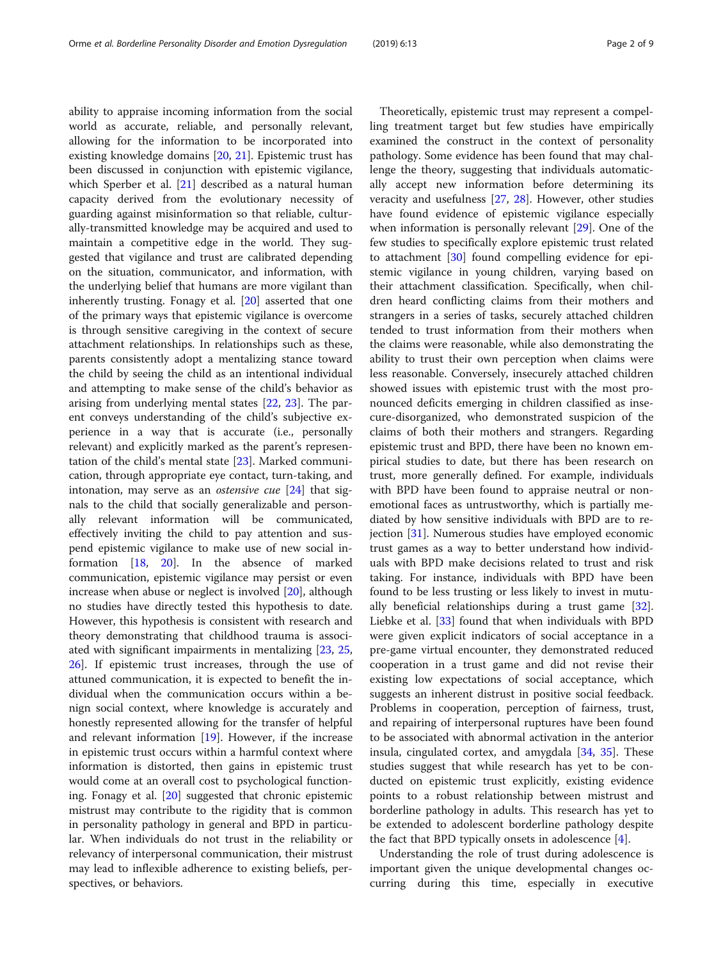ability to appraise incoming information from the social world as accurate, reliable, and personally relevant, allowing for the information to be incorporated into existing knowledge domains [[20,](#page-7-0) [21\]](#page-7-0). Epistemic trust has been discussed in conjunction with epistemic vigilance, which Sperber et al. [[21](#page-7-0)] described as a natural human capacity derived from the evolutionary necessity of guarding against misinformation so that reliable, culturally-transmitted knowledge may be acquired and used to maintain a competitive edge in the world. They suggested that vigilance and trust are calibrated depending on the situation, communicator, and information, with the underlying belief that humans are more vigilant than inherently trusting. Fonagy et al. [\[20](#page-7-0)] asserted that one of the primary ways that epistemic vigilance is overcome is through sensitive caregiving in the context of secure attachment relationships. In relationships such as these, parents consistently adopt a mentalizing stance toward the child by seeing the child as an intentional individual and attempting to make sense of the child's behavior as arising from underlying mental states [\[22](#page-7-0), [23\]](#page-7-0). The parent conveys understanding of the child's subjective experience in a way that is accurate (i.e., personally relevant) and explicitly marked as the parent's representation of the child's mental state [\[23\]](#page-7-0). Marked communication, through appropriate eye contact, turn-taking, and intonation, may serve as an *ostensive cue*  $[24]$  $[24]$  that signals to the child that socially generalizable and personally relevant information will be communicated, effectively inviting the child to pay attention and suspend epistemic vigilance to make use of new social information [\[18](#page-7-0), [20](#page-7-0)]. In the absence of marked communication, epistemic vigilance may persist or even increase when abuse or neglect is involved [[20](#page-7-0)], although no studies have directly tested this hypothesis to date. However, this hypothesis is consistent with research and theory demonstrating that childhood trauma is associated with significant impairments in mentalizing [\[23](#page-7-0), [25](#page-7-0), [26\]](#page-7-0). If epistemic trust increases, through the use of attuned communication, it is expected to benefit the individual when the communication occurs within a benign social context, where knowledge is accurately and honestly represented allowing for the transfer of helpful and relevant information [[19](#page-7-0)]. However, if the increase in epistemic trust occurs within a harmful context where information is distorted, then gains in epistemic trust would come at an overall cost to psychological functioning. Fonagy et al. [[20](#page-7-0)] suggested that chronic epistemic mistrust may contribute to the rigidity that is common in personality pathology in general and BPD in particular. When individuals do not trust in the reliability or relevancy of interpersonal communication, their mistrust may lead to inflexible adherence to existing beliefs, perspectives, or behaviors.

Theoretically, epistemic trust may represent a compelling treatment target but few studies have empirically examined the construct in the context of personality pathology. Some evidence has been found that may challenge the theory, suggesting that individuals automatically accept new information before determining its veracity and usefulness [[27](#page-7-0), [28](#page-7-0)]. However, other studies have found evidence of epistemic vigilance especially when information is personally relevant [\[29](#page-7-0)]. One of the few studies to specifically explore epistemic trust related to attachment [\[30](#page-7-0)] found compelling evidence for epistemic vigilance in young children, varying based on their attachment classification. Specifically, when children heard conflicting claims from their mothers and strangers in a series of tasks, securely attached children tended to trust information from their mothers when the claims were reasonable, while also demonstrating the ability to trust their own perception when claims were less reasonable. Conversely, insecurely attached children showed issues with epistemic trust with the most pronounced deficits emerging in children classified as insecure-disorganized, who demonstrated suspicion of the claims of both their mothers and strangers. Regarding epistemic trust and BPD, there have been no known empirical studies to date, but there has been research on trust, more generally defined. For example, individuals with BPD have been found to appraise neutral or nonemotional faces as untrustworthy, which is partially mediated by how sensitive individuals with BPD are to rejection [[31](#page-7-0)]. Numerous studies have employed economic trust games as a way to better understand how individuals with BPD make decisions related to trust and risk taking. For instance, individuals with BPD have been found to be less trusting or less likely to invest in mutually beneficial relationships during a trust game [\[32](#page-7-0)]. Liebke et al. [\[33\]](#page-7-0) found that when individuals with BPD were given explicit indicators of social acceptance in a pre-game virtual encounter, they demonstrated reduced cooperation in a trust game and did not revise their existing low expectations of social acceptance, which suggests an inherent distrust in positive social feedback. Problems in cooperation, perception of fairness, trust, and repairing of interpersonal ruptures have been found to be associated with abnormal activation in the anterior insula, cingulated cortex, and amygdala [\[34](#page-7-0), [35\]](#page-7-0). These studies suggest that while research has yet to be conducted on epistemic trust explicitly, existing evidence points to a robust relationship between mistrust and borderline pathology in adults. This research has yet to be extended to adolescent borderline pathology despite the fact that BPD typically onsets in adolescence [\[4](#page-7-0)].

Understanding the role of trust during adolescence is important given the unique developmental changes occurring during this time, especially in executive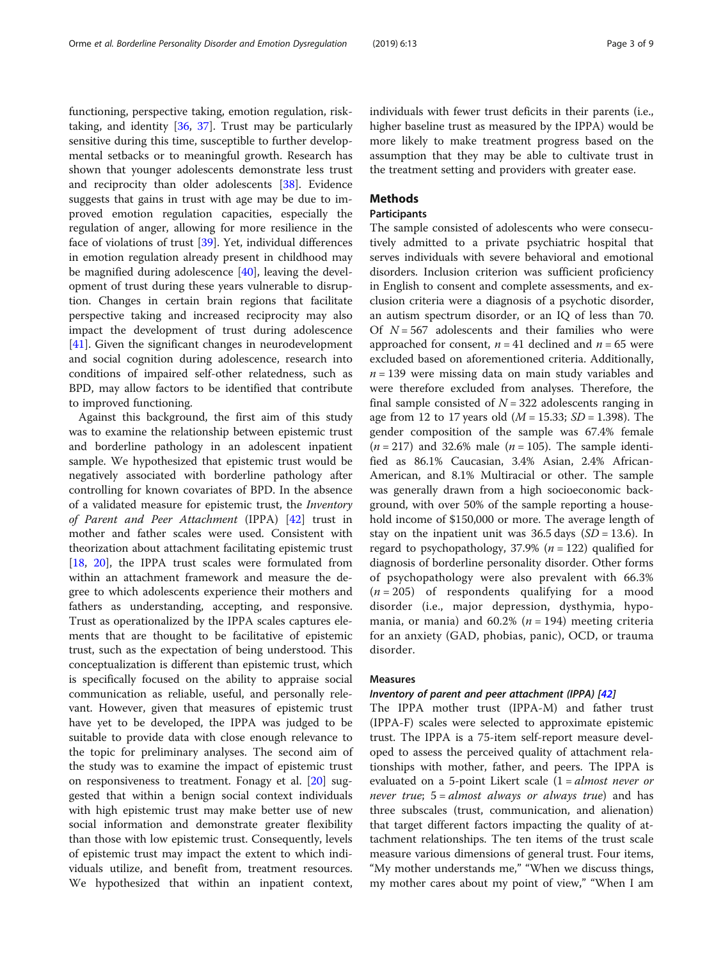functioning, perspective taking, emotion regulation, risktaking, and identity [\[36](#page-7-0), [37](#page-7-0)]. Trust may be particularly sensitive during this time, susceptible to further developmental setbacks or to meaningful growth. Research has shown that younger adolescents demonstrate less trust and reciprocity than older adolescents [\[38](#page-7-0)]. Evidence suggests that gains in trust with age may be due to improved emotion regulation capacities, especially the regulation of anger, allowing for more resilience in the face of violations of trust [[39\]](#page-7-0). Yet, individual differences in emotion regulation already present in childhood may be magnified during adolescence [[40\]](#page-7-0), leaving the development of trust during these years vulnerable to disruption. Changes in certain brain regions that facilitate perspective taking and increased reciprocity may also impact the development of trust during adolescence [[41\]](#page-7-0). Given the significant changes in neurodevelopment and social cognition during adolescence, research into conditions of impaired self-other relatedness, such as BPD, may allow factors to be identified that contribute to improved functioning.

Against this background, the first aim of this study was to examine the relationship between epistemic trust and borderline pathology in an adolescent inpatient sample. We hypothesized that epistemic trust would be negatively associated with borderline pathology after controlling for known covariates of BPD. In the absence of a validated measure for epistemic trust, the Inventory of Parent and Peer Attachment (IPPA) [[42](#page-8-0)] trust in mother and father scales were used. Consistent with theorization about attachment facilitating epistemic trust [[18,](#page-7-0) [20](#page-7-0)], the IPPA trust scales were formulated from within an attachment framework and measure the degree to which adolescents experience their mothers and fathers as understanding, accepting, and responsive. Trust as operationalized by the IPPA scales captures elements that are thought to be facilitative of epistemic trust, such as the expectation of being understood. This conceptualization is different than epistemic trust, which is specifically focused on the ability to appraise social communication as reliable, useful, and personally relevant. However, given that measures of epistemic trust have yet to be developed, the IPPA was judged to be suitable to provide data with close enough relevance to the topic for preliminary analyses. The second aim of the study was to examine the impact of epistemic trust on responsiveness to treatment. Fonagy et al. [\[20\]](#page-7-0) suggested that within a benign social context individuals with high epistemic trust may make better use of new social information and demonstrate greater flexibility than those with low epistemic trust. Consequently, levels of epistemic trust may impact the extent to which individuals utilize, and benefit from, treatment resources. We hypothesized that within an inpatient context, individuals with fewer trust deficits in their parents (i.e., higher baseline trust as measured by the IPPA) would be more likely to make treatment progress based on the assumption that they may be able to cultivate trust in the treatment setting and providers with greater ease.

## Methods

## **Participants**

The sample consisted of adolescents who were consecutively admitted to a private psychiatric hospital that serves individuals with severe behavioral and emotional disorders. Inclusion criterion was sufficient proficiency in English to consent and complete assessments, and exclusion criteria were a diagnosis of a psychotic disorder, an autism spectrum disorder, or an IQ of less than 70. Of  $N = 567$  adolescents and their families who were approached for consent,  $n = 41$  declined and  $n = 65$  were excluded based on aforementioned criteria. Additionally,  $n = 139$  were missing data on main study variables and were therefore excluded from analyses. Therefore, the final sample consisted of  $N = 322$  adolescents ranging in age from 12 to 17 years old  $(M = 15.33; SD = 1.398)$ . The gender composition of the sample was 67.4% female  $(n = 217)$  and 32.6% male  $(n = 105)$ . The sample identified as 86.1% Caucasian, 3.4% Asian, 2.4% African-American, and 8.1% Multiracial or other. The sample was generally drawn from a high socioeconomic background, with over 50% of the sample reporting a household income of \$150,000 or more. The average length of stay on the inpatient unit was  $36.5 \text{ days}$  (SD = 13.6). In regard to psychopathology, 37.9% ( $n = 122$ ) qualified for diagnosis of borderline personality disorder. Other forms of psychopathology were also prevalent with 66.3%  $(n = 205)$  of respondents qualifying for a mood disorder (i.e., major depression, dysthymia, hypomania, or mania) and  $60.2\%$  ( $n = 194$ ) meeting criteria for an anxiety (GAD, phobias, panic), OCD, or trauma disorder.

## Measures

## Inventory of parent and peer attachment (IPPA) [\[42\]](#page-8-0)

The IPPA mother trust (IPPA-M) and father trust (IPPA-F) scales were selected to approximate epistemic trust. The IPPA is a 75-item self-report measure developed to assess the perceived quality of attachment relationships with mother, father, and peers. The IPPA is evaluated on a 5-point Likert scale (1 = *almost never or never true*;  $5 = almost always or always true$  and has three subscales (trust, communication, and alienation) that target different factors impacting the quality of attachment relationships. The ten items of the trust scale measure various dimensions of general trust. Four items, "My mother understands me," "When we discuss things, my mother cares about my point of view," "When I am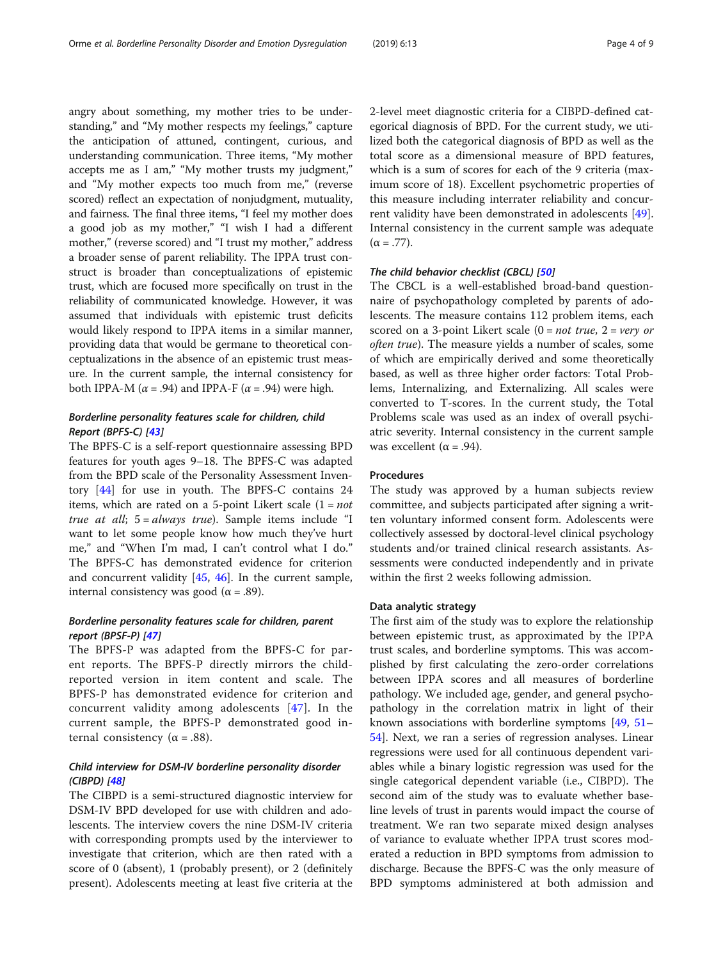angry about something, my mother tries to be understanding," and "My mother respects my feelings," capture the anticipation of attuned, contingent, curious, and understanding communication. Three items, "My mother accepts me as I am," "My mother trusts my judgment," and "My mother expects too much from me," (reverse scored) reflect an expectation of nonjudgment, mutuality, and fairness. The final three items, "I feel my mother does a good job as my mother," "I wish I had a different mother," (reverse scored) and "I trust my mother," address a broader sense of parent reliability. The IPPA trust construct is broader than conceptualizations of epistemic trust, which are focused more specifically on trust in the reliability of communicated knowledge. However, it was assumed that individuals with epistemic trust deficits would likely respond to IPPA items in a similar manner, providing data that would be germane to theoretical conceptualizations in the absence of an epistemic trust measure. In the current sample, the internal consistency for both IPPA-M ( $\alpha$  = .94) and IPPA-F ( $\alpha$  = .94) were high.

## Borderline personality features scale for children, child Report (BPFS-C) [[43](#page-8-0)]

The BPFS-C is a self-report questionnaire assessing BPD features for youth ages 9–18. The BPFS-C was adapted from the BPD scale of the Personality Assessment Inventory [[44\]](#page-8-0) for use in youth. The BPFS-C contains 24 items, which are rated on a 5-point Likert scale  $(1 = not$ true at all;  $5 = always$  true). Sample items include "I want to let some people know how much they've hurt me," and "When I'm mad, I can't control what I do." The BPFS-C has demonstrated evidence for criterion and concurrent validity [\[45,](#page-8-0) [46\]](#page-8-0). In the current sample, internal consistency was good ( $α = .89$ ).

## Borderline personality features scale for children, parent report (BPSF-P) [[47](#page-8-0)]

The BPFS-P was adapted from the BPFS-C for parent reports. The BPFS-P directly mirrors the childreported version in item content and scale. The BPFS-P has demonstrated evidence for criterion and concurrent validity among adolescents [[47](#page-8-0)]. In the current sample, the BPFS-P demonstrated good internal consistency ( $α = .88$ ).

## Child interview for DSM-IV borderline personality disorder (CIBPD) [\[48](#page-8-0)]

The CIBPD is a semi-structured diagnostic interview for DSM-IV BPD developed for use with children and adolescents. The interview covers the nine DSM-IV criteria with corresponding prompts used by the interviewer to investigate that criterion, which are then rated with a score of 0 (absent), 1 (probably present), or 2 (definitely present). Adolescents meeting at least five criteria at the 2-level meet diagnostic criteria for a CIBPD-defined categorical diagnosis of BPD. For the current study, we utilized both the categorical diagnosis of BPD as well as the total score as a dimensional measure of BPD features, which is a sum of scores for each of the 9 criteria (maximum score of 18). Excellent psychometric properties of this measure including interrater reliability and concurrent validity have been demonstrated in adolescents [\[49](#page-8-0)]. Internal consistency in the current sample was adequate  $(\alpha = .77)$ .

## The child behavior checklist (CBCL) [\[50\]](#page-8-0)

The CBCL is a well-established broad-band questionnaire of psychopathology completed by parents of adolescents. The measure contains 112 problem items, each scored on a 3-point Likert scale  $(0 = not true, 2 = very$  or often true). The measure yields a number of scales, some of which are empirically derived and some theoretically based, as well as three higher order factors: Total Problems, Internalizing, and Externalizing. All scales were converted to T-scores. In the current study, the Total Problems scale was used as an index of overall psychiatric severity. Internal consistency in the current sample was excellent ( $\alpha$  = .94).

#### Procedures

The study was approved by a human subjects review committee, and subjects participated after signing a written voluntary informed consent form. Adolescents were collectively assessed by doctoral-level clinical psychology students and/or trained clinical research assistants. Assessments were conducted independently and in private within the first 2 weeks following admission.

#### Data analytic strategy

The first aim of the study was to explore the relationship between epistemic trust, as approximated by the IPPA trust scales, and borderline symptoms. This was accomplished by first calculating the zero-order correlations between IPPA scores and all measures of borderline pathology. We included age, gender, and general psychopathology in the correlation matrix in light of their known associations with borderline symptoms [[49,](#page-8-0) [51](#page-8-0)– [54\]](#page-8-0). Next, we ran a series of regression analyses. Linear regressions were used for all continuous dependent variables while a binary logistic regression was used for the single categorical dependent variable (i.e., CIBPD). The second aim of the study was to evaluate whether baseline levels of trust in parents would impact the course of treatment. We ran two separate mixed design analyses of variance to evaluate whether IPPA trust scores moderated a reduction in BPD symptoms from admission to discharge. Because the BPFS-C was the only measure of BPD symptoms administered at both admission and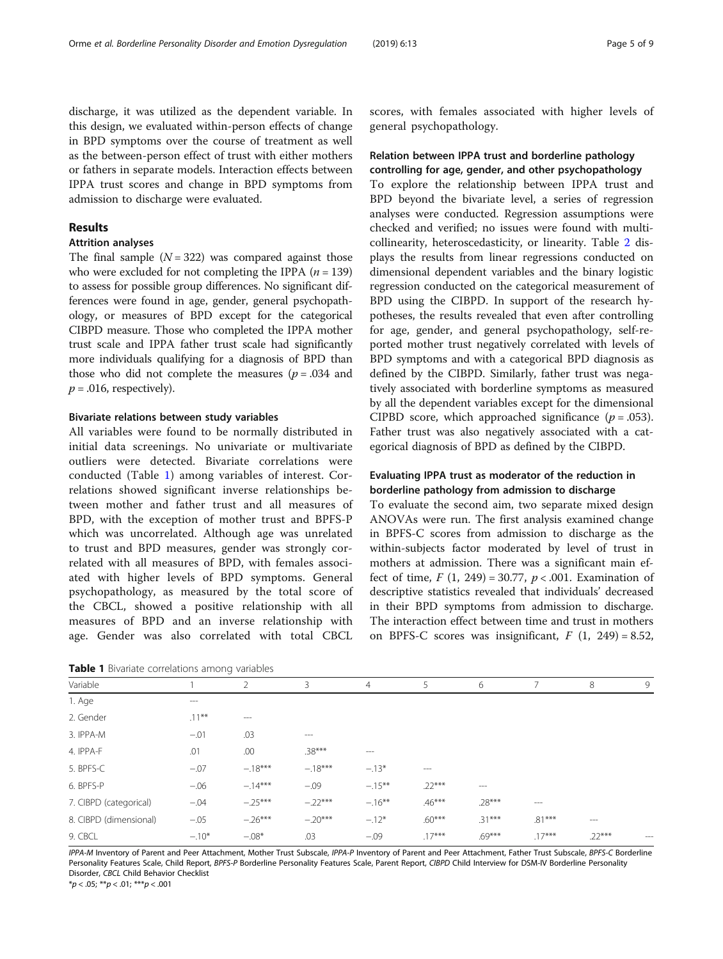discharge, it was utilized as the dependent variable. In this design, we evaluated within-person effects of change in BPD symptoms over the course of treatment as well as the between-person effect of trust with either mothers or fathers in separate models. Interaction effects between IPPA trust scores and change in BPD symptoms from admission to discharge were evaluated.

### Results

### Attrition analyses

The final sample  $(N = 322)$  was compared against those who were excluded for not completing the IPPA  $(n = 139)$ to assess for possible group differences. No significant differences were found in age, gender, general psychopathology, or measures of BPD except for the categorical CIBPD measure. Those who completed the IPPA mother trust scale and IPPA father trust scale had significantly more individuals qualifying for a diagnosis of BPD than those who did not complete the measures ( $p = .034$  and  $p = .016$ , respectively).

#### Bivariate relations between study variables

All variables were found to be normally distributed in initial data screenings. No univariate or multivariate outliers were detected. Bivariate correlations were conducted (Table 1) among variables of interest. Correlations showed significant inverse relationships between mother and father trust and all measures of BPD, with the exception of mother trust and BPFS-P which was uncorrelated. Although age was unrelated to trust and BPD measures, gender was strongly correlated with all measures of BPD, with females associated with higher levels of BPD symptoms. General psychopathology, as measured by the total score of the CBCL, showed a positive relationship with all measures of BPD and an inverse relationship with age. Gender was also correlated with total CBCL

Table 1 Bivariate correlations among variables

scores, with females associated with higher levels of general psychopathology.

## Relation between IPPA trust and borderline pathology controlling for age, gender, and other psychopathology

To explore the relationship between IPPA trust and BPD beyond the bivariate level, a series of regression analyses were conducted. Regression assumptions were checked and verified; no issues were found with multicollinearity, heteroscedasticity, or linearity. Table [2](#page-5-0) displays the results from linear regressions conducted on dimensional dependent variables and the binary logistic regression conducted on the categorical measurement of BPD using the CIBPD. In support of the research hypotheses, the results revealed that even after controlling for age, gender, and general psychopathology, self-reported mother trust negatively correlated with levels of BPD symptoms and with a categorical BPD diagnosis as defined by the CIBPD. Similarly, father trust was negatively associated with borderline symptoms as measured by all the dependent variables except for the dimensional CIPBD score, which approached significance  $(p=.053)$ . Father trust was also negatively associated with a categorical diagnosis of BPD as defined by the CIBPD.

## Evaluating IPPA trust as moderator of the reduction in borderline pathology from admission to discharge

To evaluate the second aim, two separate mixed design ANOVAs were run. The first analysis examined change in BPFS-C scores from admission to discharge as the within-subjects factor moderated by level of trust in mothers at admission. There was a significant main effect of time,  $F(1, 249) = 30.77$ ,  $p < .001$ . Examination of descriptive statistics revealed that individuals' decreased in their BPD symptoms from admission to discharge. The interaction effect between time and trust in mothers on BPFS-C scores was insignificant,  $F(1, 249) = 8.52$ ,

|                        |          | $\cdots$  |           |                |          |          |          |          |       |
|------------------------|----------|-----------|-----------|----------------|----------|----------|----------|----------|-------|
| Variable               |          | 2         | 3         | $\overline{4}$ | 5        | 6        |          | 8        | 9     |
| 1. Age                 | $---$    |           |           |                |          |          |          |          |       |
| 2. Gender              | $.11***$ | $---$     |           |                |          |          |          |          |       |
| 3. IPPA-M              | $-.01$   | .03       | $\cdots$  |                |          |          |          |          |       |
| 4. IPPA-F              | .01      | .00       | $.38***$  | $---$          |          |          |          |          |       |
| 5. BPFS-C              | $-.07$   | $-.18***$ | $-.18***$ | $-.13*$        | $\cdots$ |          |          |          |       |
| 6. BPFS-P              | $-.06$   | $-.14***$ | $-.09$    | $-.15***$      | $.22***$ | $\cdots$ |          |          |       |
| 7. CIBPD (categorical) | $-.04$   | $-.25***$ | $-22***$  | $-.16***$      | $.46***$ | $.28***$ | $---$    |          |       |
| 8. CIBPD (dimensional) | $-.05$   | $-.26***$ | $-.20***$ | $-.12*$        | $.60***$ | $.31***$ | $.81***$ | $---$    |       |
| 9. CBCL                | $-.10*$  | $-.08*$   | .03       | $-.09$         | $.17***$ | $.69***$ | $.17***$ | $.22***$ | $---$ |

IPPA-M Inventory of Parent and Peer Attachment, Mother Trust Subscale, IPPA-P Inventory of Parent and Peer Attachment, Father Trust Subscale, BPFS-C Borderline Personality Features Scale, Child Report, BPFS-P Borderline Personality Features Scale, Parent Report, CIBPD Child Interview for DSM-IV Borderline Personality Disorder, CBCL Child Behavior Checklist

 $*p < .05; **p < .01; **p < .001$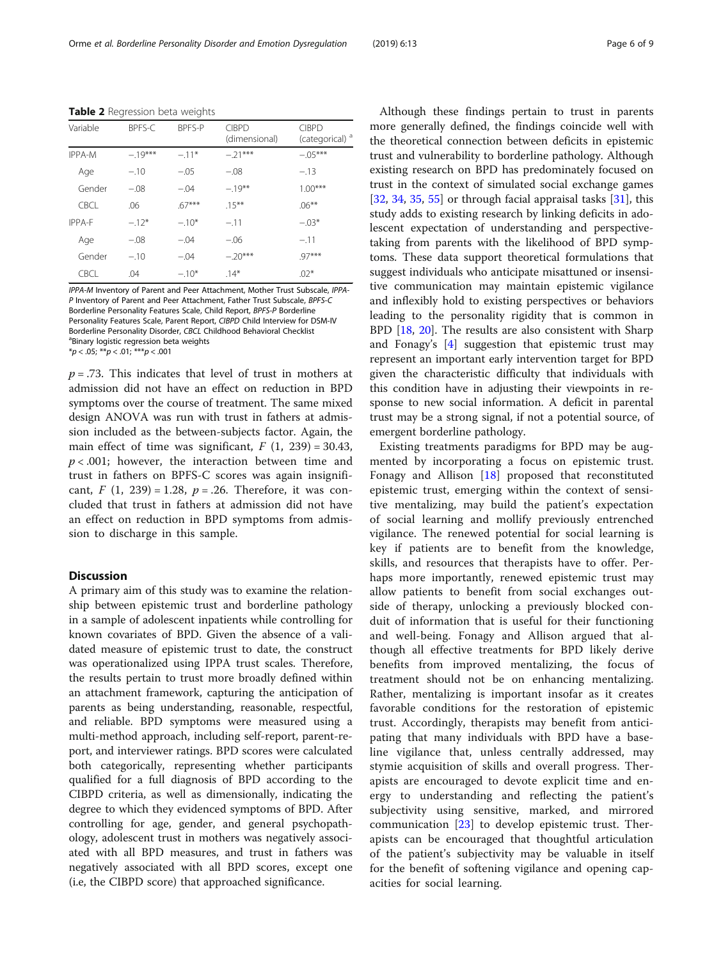<span id="page-5-0"></span>Table 2 Regression beta weights

| Variable | BPFS-C    | <b>BPFS-P</b> | <b>CIBPD</b><br>(dimensional) | <b>CIBPD</b><br>(categorical) <sup>a</sup> |
|----------|-----------|---------------|-------------------------------|--------------------------------------------|
| IPPA-M   | $-.19***$ | $-.11*$       | $-.21***$                     | $-.05***$                                  |
| Age      | $-.10$    | $-.05$        | $-.08$                        | $-.13$                                     |
| Gender   | $-.08$    | $-.04$        | $-.19***$                     | $1.00***$                                  |
| CBCL.    | .06       | $.67***$      | $15***$                       | $.06***$                                   |
| IPPA-F   | $-.12*$   | $-.10*$       | $-.11$                        | $-.03*$                                    |
| Age      | $-.08$    | $-.04$        | $-.06$                        | $-.11$                                     |
| Gender   | $-.10$    | $-.04$        | $-.20***$                     | $.97***$                                   |
| CBCL.    | .04       | $-.10*$       | $.14*$                        | $.02*$                                     |

IPPA-M Inventory of Parent and Peer Attachment, Mother Trust Subscale, IPPA-P Inventory of Parent and Peer Attachment, Father Trust Subscale, BPFS-C Borderline Personality Features Scale, Child Report, BPFS-P Borderline Personality Features Scale, Parent Report, CIBPD Child Interview for DSM-IV Borderline Personality Disorder, CBCL Childhood Behavioral Checklist <sup>a</sup>Binary logistic regression beta weights

 $*p < .05; **p < .01; **p < .001$ 

 $p = .73$ . This indicates that level of trust in mothers at admission did not have an effect on reduction in BPD symptoms over the course of treatment. The same mixed design ANOVA was run with trust in fathers at admission included as the between-subjects factor. Again, the main effect of time was significant,  $F(1, 239) = 30.43$ ,  $p < .001$ ; however, the interaction between time and trust in fathers on BPFS-C scores was again insignificant,  $F(1, 239) = 1.28$ ,  $p = .26$ . Therefore, it was concluded that trust in fathers at admission did not have an effect on reduction in BPD symptoms from admission to discharge in this sample.

#### **Discussion**

A primary aim of this study was to examine the relationship between epistemic trust and borderline pathology in a sample of adolescent inpatients while controlling for known covariates of BPD. Given the absence of a validated measure of epistemic trust to date, the construct was operationalized using IPPA trust scales. Therefore, the results pertain to trust more broadly defined within an attachment framework, capturing the anticipation of parents as being understanding, reasonable, respectful, and reliable. BPD symptoms were measured using a multi-method approach, including self-report, parent-report, and interviewer ratings. BPD scores were calculated both categorically, representing whether participants qualified for a full diagnosis of BPD according to the CIBPD criteria, as well as dimensionally, indicating the degree to which they evidenced symptoms of BPD. After controlling for age, gender, and general psychopathology, adolescent trust in mothers was negatively associated with all BPD measures, and trust in fathers was negatively associated with all BPD scores, except one (i.e, the CIBPD score) that approached significance.

Although these findings pertain to trust in parents more generally defined, the findings coincide well with the theoretical connection between deficits in epistemic trust and vulnerability to borderline pathology. Although existing research on BPD has predominately focused on trust in the context of simulated social exchange games [[32,](#page-7-0) [34,](#page-7-0) [35,](#page-7-0) [55\]](#page-8-0) or through facial appraisal tasks  $[31]$  $[31]$  $[31]$ , this study adds to existing research by linking deficits in adolescent expectation of understanding and perspectivetaking from parents with the likelihood of BPD symptoms. These data support theoretical formulations that suggest individuals who anticipate misattuned or insensitive communication may maintain epistemic vigilance and inflexibly hold to existing perspectives or behaviors leading to the personality rigidity that is common in BPD [[18,](#page-7-0) [20](#page-7-0)]. The results are also consistent with Sharp and Fonagy's [[4\]](#page-7-0) suggestion that epistemic trust may represent an important early intervention target for BPD given the characteristic difficulty that individuals with this condition have in adjusting their viewpoints in response to new social information. A deficit in parental trust may be a strong signal, if not a potential source, of emergent borderline pathology.

Existing treatments paradigms for BPD may be augmented by incorporating a focus on epistemic trust. Fonagy and Allison [[18](#page-7-0)] proposed that reconstituted epistemic trust, emerging within the context of sensitive mentalizing, may build the patient's expectation of social learning and mollify previously entrenched vigilance. The renewed potential for social learning is key if patients are to benefit from the knowledge, skills, and resources that therapists have to offer. Perhaps more importantly, renewed epistemic trust may allow patients to benefit from social exchanges outside of therapy, unlocking a previously blocked conduit of information that is useful for their functioning and well-being. Fonagy and Allison argued that although all effective treatments for BPD likely derive benefits from improved mentalizing, the focus of treatment should not be on enhancing mentalizing. Rather, mentalizing is important insofar as it creates favorable conditions for the restoration of epistemic trust. Accordingly, therapists may benefit from anticipating that many individuals with BPD have a baseline vigilance that, unless centrally addressed, may stymie acquisition of skills and overall progress. Therapists are encouraged to devote explicit time and energy to understanding and reflecting the patient's subjectivity using sensitive, marked, and mirrored communication [[23\]](#page-7-0) to develop epistemic trust. Therapists can be encouraged that thoughtful articulation of the patient's subjectivity may be valuable in itself for the benefit of softening vigilance and opening capacities for social learning.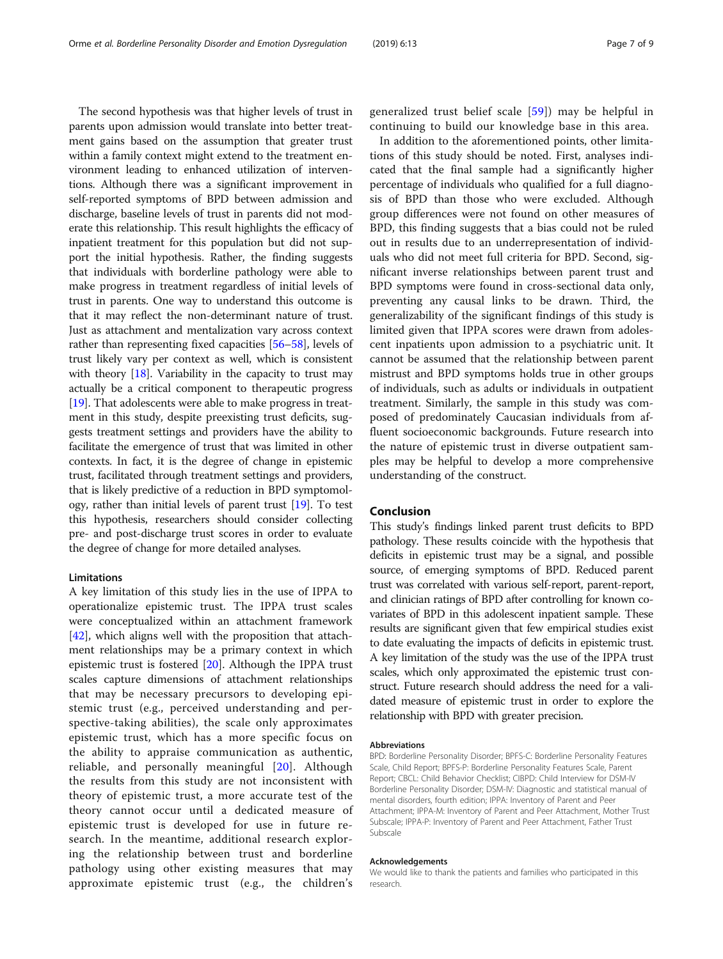The second hypothesis was that higher levels of trust in parents upon admission would translate into better treatment gains based on the assumption that greater trust within a family context might extend to the treatment environment leading to enhanced utilization of interventions. Although there was a significant improvement in self-reported symptoms of BPD between admission and discharge, baseline levels of trust in parents did not moderate this relationship. This result highlights the efficacy of inpatient treatment for this population but did not support the initial hypothesis. Rather, the finding suggests that individuals with borderline pathology were able to make progress in treatment regardless of initial levels of trust in parents. One way to understand this outcome is that it may reflect the non-determinant nature of trust. Just as attachment and mentalization vary across context rather than representing fixed capacities [[56](#page-8-0)–[58\]](#page-8-0), levels of trust likely vary per context as well, which is consistent with theory  $[18]$  $[18]$  $[18]$ . Variability in the capacity to trust may actually be a critical component to therapeutic progress [[19](#page-7-0)]. That adolescents were able to make progress in treatment in this study, despite preexisting trust deficits, suggests treatment settings and providers have the ability to facilitate the emergence of trust that was limited in other contexts. In fact, it is the degree of change in epistemic trust, facilitated through treatment settings and providers, that is likely predictive of a reduction in BPD symptomology, rather than initial levels of parent trust [[19\]](#page-7-0). To test this hypothesis, researchers should consider collecting pre- and post-discharge trust scores in order to evaluate the degree of change for more detailed analyses.

#### Limitations

A key limitation of this study lies in the use of IPPA to operationalize epistemic trust. The IPPA trust scales were conceptualized within an attachment framework [[42\]](#page-8-0), which aligns well with the proposition that attachment relationships may be a primary context in which epistemic trust is fostered [\[20\]](#page-7-0). Although the IPPA trust scales capture dimensions of attachment relationships that may be necessary precursors to developing epistemic trust (e.g., perceived understanding and perspective-taking abilities), the scale only approximates epistemic trust, which has a more specific focus on the ability to appraise communication as authentic, reliable, and personally meaningful [[20](#page-7-0)]. Although the results from this study are not inconsistent with theory of epistemic trust, a more accurate test of the theory cannot occur until a dedicated measure of epistemic trust is developed for use in future research. In the meantime, additional research exploring the relationship between trust and borderline pathology using other existing measures that may approximate epistemic trust (e.g., the children's

generalized trust belief scale [[59](#page-8-0)]) may be helpful in continuing to build our knowledge base in this area.

In addition to the aforementioned points, other limitations of this study should be noted. First, analyses indicated that the final sample had a significantly higher percentage of individuals who qualified for a full diagnosis of BPD than those who were excluded. Although group differences were not found on other measures of BPD, this finding suggests that a bias could not be ruled out in results due to an underrepresentation of individuals who did not meet full criteria for BPD. Second, significant inverse relationships between parent trust and BPD symptoms were found in cross-sectional data only, preventing any causal links to be drawn. Third, the generalizability of the significant findings of this study is limited given that IPPA scores were drawn from adolescent inpatients upon admission to a psychiatric unit. It cannot be assumed that the relationship between parent mistrust and BPD symptoms holds true in other groups of individuals, such as adults or individuals in outpatient treatment. Similarly, the sample in this study was composed of predominately Caucasian individuals from affluent socioeconomic backgrounds. Future research into the nature of epistemic trust in diverse outpatient samples may be helpful to develop a more comprehensive understanding of the construct.

### Conclusion

This study's findings linked parent trust deficits to BPD pathology. These results coincide with the hypothesis that deficits in epistemic trust may be a signal, and possible source, of emerging symptoms of BPD. Reduced parent trust was correlated with various self-report, parent-report, and clinician ratings of BPD after controlling for known covariates of BPD in this adolescent inpatient sample. These results are significant given that few empirical studies exist to date evaluating the impacts of deficits in epistemic trust. A key limitation of the study was the use of the IPPA trust scales, which only approximated the epistemic trust construct. Future research should address the need for a validated measure of epistemic trust in order to explore the relationship with BPD with greater precision.

#### Abbreviations

BPD: Borderline Personality Disorder; BPFS-C: Borderline Personality Features Scale, Child Report; BPFS-P: Borderline Personality Features Scale, Parent Report; CBCL: Child Behavior Checklist; CIBPD: Child Interview for DSM-IV Borderline Personality Disorder; DSM-IV: Diagnostic and statistical manual of mental disorders, fourth edition; IPPA: Inventory of Parent and Peer Attachment; IPPA-M: Inventory of Parent and Peer Attachment, Mother Trust Subscale; IPPA-P: Inventory of Parent and Peer Attachment, Father Trust Subscale

#### Acknowledgements

We would like to thank the patients and families who participated in this research.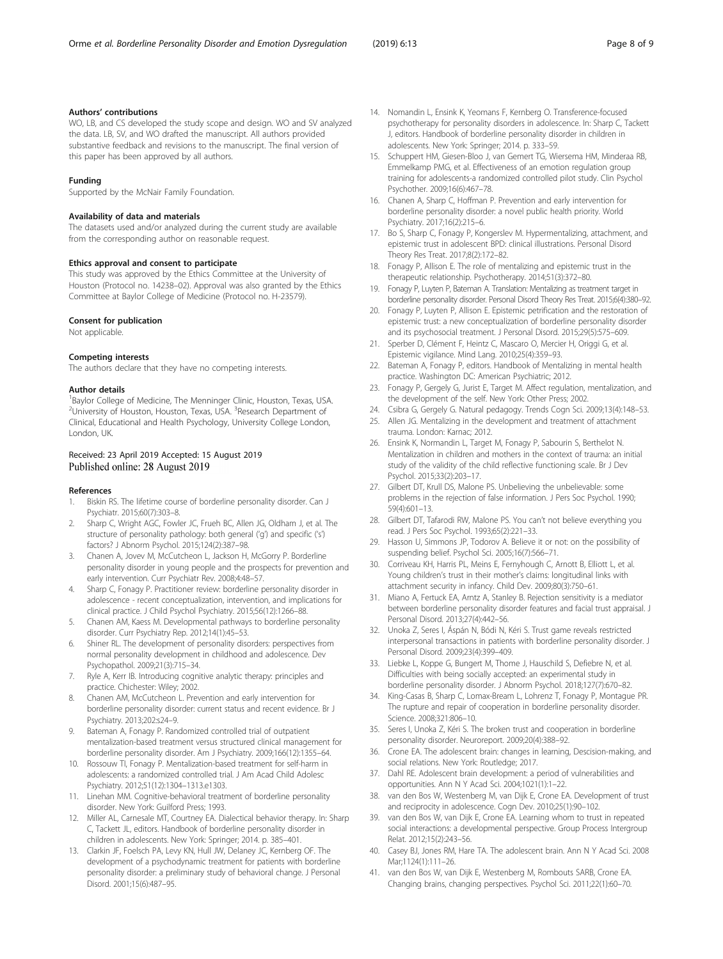#### <span id="page-7-0"></span>Authors' contributions

WO, LB, and CS developed the study scope and design. WO and SV analyzed the data. LB, SV, and WO drafted the manuscript. All authors provided substantive feedback and revisions to the manuscript. The final version of this paper has been approved by all authors.

#### Funding

Supported by the McNair Family Foundation.

#### Availability of data and materials

The datasets used and/or analyzed during the current study are available from the corresponding author on reasonable request.

#### Ethics approval and consent to participate

This study was approved by the Ethics Committee at the University of Houston (Protocol no. 14238–02). Approval was also granted by the Ethics Committee at Baylor College of Medicine (Protocol no. H-23579).

#### Consent for publication

Not applicable.

#### Competing interests

The authors declare that they have no competing interests.

#### Author details

<sup>1</sup>Baylor College of Medicine, The Menninger Clinic, Houston, Texas, USA. <sup>2</sup>University of Houston, Houston, Texas, USA. <sup>3</sup>Research Department of Clinical, Educational and Health Psychology, University College London, London, UK.

#### Received: 23 April 2019 Accepted: 15 August 2019 Published online: 28 August 2019

#### References

- 1. Biskin RS. The lifetime course of borderline personality disorder. Can J Psychiatr. 2015;60(7):303–8.
- Sharp C, Wright AGC, Fowler JC, Frueh BC, Allen JG, Oldham J, et al. The structure of personality pathology: both general ('g') and specific ('s') factors? J Abnorm Psychol. 2015;124(2):387–98.
- 3. Chanen A, Jovev M, McCutcheon L, Jackson H, McGorry P. Borderline personality disorder in young people and the prospects for prevention and early intervention. Curr Psychiatr Rev. 2008;4:48–57.
- 4. Sharp C, Fonagy P. Practitioner review: borderline personality disorder in adolescence - recent conceptualization, intervention, and implications for clinical practice. J Child Psychol Psychiatry. 2015;56(12):1266–88.
- 5. Chanen AM, Kaess M. Developmental pathways to borderline personality disorder. Curr Psychiatry Rep. 2012;14(1):45–53.
- 6. Shiner RL. The development of personality disorders: perspectives from normal personality development in childhood and adolescence. Dev Psychopathol. 2009;21(3):715–34.
- 7. Ryle A, Kerr IB. Introducing cognitive analytic therapy: principles and practice. Chichester: Wiley; 2002.
- 8. Chanen AM, McCutcheon L. Prevention and early intervention for borderline personality disorder: current status and recent evidence. Br J Psychiatry. 2013;202:s24–9.
- 9. Bateman A, Fonagy P. Randomized controlled trial of outpatient mentalization-based treatment versus structured clinical management for borderline personality disorder. Am J Psychiatry. 2009;166(12):1355–64.
- 10. Rossouw TI, Fonagy P. Mentalization-based treatment for self-harm in adolescents: a randomized controlled trial. J Am Acad Child Adolesc Psychiatry. 2012;51(12):1304–1313.e1303.
- 11. Linehan MM. Cognitive-behavioral treatment of borderline personality disorder. New York: Guilford Press; 1993.
- 12. Miller AL, Carnesale MT, Courtney EA. Dialectical behavior therapy. In: Sharp C, Tackett JL, editors. Handbook of borderline personality disorder in children in adolescents. New York: Springer; 2014. p. 385–401.
- 13. Clarkin JF, Foelsch PA, Levy KN, Hull JW, Delaney JC, Kernberg OF. The development of a psychodynamic treatment for patients with borderline personality disorder: a preliminary study of behavioral change. J Personal Disord. 2001;15(6):487–95.
- 14. Nomandin L, Ensink K, Yeomans F, Kernberg O. Transference-focused psychotherapy for personality disorders in adolescence. In: Sharp C, Tackett J, editors. Handbook of borderline personality disorder in children in adolescents. New York: Springer; 2014. p. 333–59.
- 15. Schuppert HM, Giesen-Bloo J, van Gemert TG, Wiersema HM, Minderaa RB, Emmelkamp PMG, et al. Effectiveness of an emotion regulation group training for adolescents-a randomized controlled pilot study. Clin Psychol Psychother. 2009;16(6):467–78.
- 16. Chanen A, Sharp C, Hoffman P. Prevention and early intervention for borderline personality disorder: a novel public health priority. World Psychiatry. 2017;16(2):215–6.
- 17. Bo S, Sharp C, Fonagy P, Kongerslev M. Hypermentalizing, attachment, and epistemic trust in adolescent BPD: clinical illustrations. Personal Disord Theory Res Treat. 2017;8(2):172–82.
- 18. Fonagy P, Allison E. The role of mentalizing and epistemic trust in the therapeutic relationship. Psychotherapy. 2014;51(3):372–80.
- 19. Fonagy P, Luyten P, Bateman A. Translation: Mentalizing as treatment target in borderline personality disorder. Personal Disord Theory Res Treat. 2015;6(4):380–92.
- 20. Fonagy P, Luyten P, Allison E. Epistemic petrification and the restoration of epistemic trust: a new conceptualization of borderline personality disorder and its psychosocial treatment. J Personal Disord. 2015;29(5):575–609.
- 21. Sperber D, Clément F, Heintz C, Mascaro O, Mercier H, Origgi G, et al. Epistemic vigilance. Mind Lang. 2010;25(4):359–93.
- 22. Bateman A, Fonagy P, editors. Handbook of Mentalizing in mental health practice. Washington DC: American Psychiatric; 2012.
- 23. Fonagy P, Gergely G, Jurist E, Target M. Affect regulation, mentalization, and the development of the self. New York: Other Press; 2002.
- 24. Csibra G, Gergely G. Natural pedagogy. Trends Cogn Sci. 2009;13(4):148–53.
- 25. Allen JG. Mentalizing in the development and treatment of attachment trauma. London: Karnac; 2012.
- 26. Ensink K, Normandin L, Target M, Fonagy P, Sabourin S, Berthelot N. Mentalization in children and mothers in the context of trauma: an initial study of the validity of the child reflective functioning scale. Br J Dev Psychol. 2015;33(2):203–17.
- 27. Gilbert DT, Krull DS, Malone PS. Unbelieving the unbelievable: some problems in the rejection of false information. J Pers Soc Psychol. 1990; 59(4):601–13.
- 28. Gilbert DT, Tafarodi RW, Malone PS. You can't not believe everything you read. J Pers Soc Psychol. 1993;65(2):221–33.
- 29. Hasson U, Simmons JP, Todorov A. Believe it or not: on the possibility of suspending belief. Psychol Sci. 2005;16(7):566–71.
- 30. Corriveau KH, Harris PL, Meins E, Fernyhough C, Arnott B, Elliott L, et al. Young children's trust in their mother's claims: longitudinal links with attachment security in infancy. Child Dev. 2009;80(3):750–61.
- 31. Miano A, Fertuck EA, Arntz A, Stanley B. Rejection sensitivity is a mediator between borderline personality disorder features and facial trust appraisal. J Personal Disord. 2013;27(4):442–56.
- 32. Unoka Z, Seres I, Áspán N, Bódi N, Kéri S. Trust game reveals restricted interpersonal transactions in patients with borderline personality disorder. J Personal Disord. 2009;23(4):399–409.
- 33. Liebke L, Koppe G, Bungert M, Thome J, Hauschild S, Defiebre N, et al. Difficulties with being socially accepted: an experimental study in borderline personality disorder. J Abnorm Psychol. 2018;127(7):670–82.
- 34. King-Casas B, Sharp C, Lomax-Bream L, Lohrenz T, Fonagy P, Montague PR. The rupture and repair of cooperation in borderline personality disorder. Science. 2008;321:806–10.
- 35. Seres I, Unoka Z, Kéri S. The broken trust and cooperation in borderline personality disorder. Neuroreport. 2009;20(4):388–92.
- 36. Crone EA. The adolescent brain: changes in learning, Descision-making, and social relations. New York: Routledge; 2017.
- 37. Dahl RE. Adolescent brain development: a period of vulnerabilities and opportunities. Ann N Y Acad Sci. 2004;1021(1):1–22.
- 38. van den Bos W, Westenberg M, van Dijk E, Crone EA. Development of trust and reciprocity in adolescence. Cogn Dev. 2010;25(1):90–102.
- 39. van den Bos W, van Dijk E, Crone EA. Learning whom to trust in repeated social interactions: a developmental perspective. Group Process Intergroup Relat. 2012;15(2):243–56.
- 40. Casey BJ, Jones RM, Hare TA. The adolescent brain. Ann N Y Acad Sci. 2008 Mar;1124(1):111–26.
- 41. van den Bos W, van Dijk E, Westenberg M, Rombouts SARB, Crone EA. Changing brains, changing perspectives. Psychol Sci. 2011;22(1):60–70.